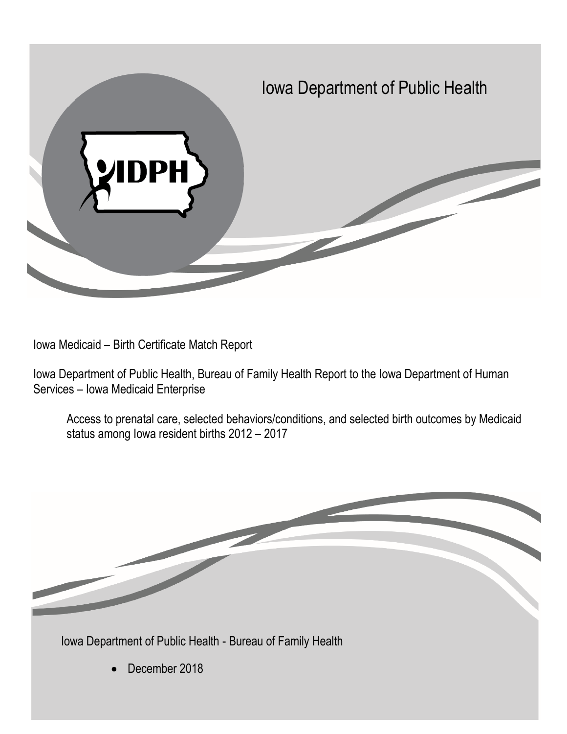

Iowa Medicaid – Birth Certificate Match Report

Iowa Department of Public Health, Bureau of Family Health Report to the Iowa Department of Human Services – Iowa Medicaid Enterprise

Access to prenatal care, selected behaviors/conditions, and selected birth outcomes by Medicaid status among Iowa resident births 2012 – 2017

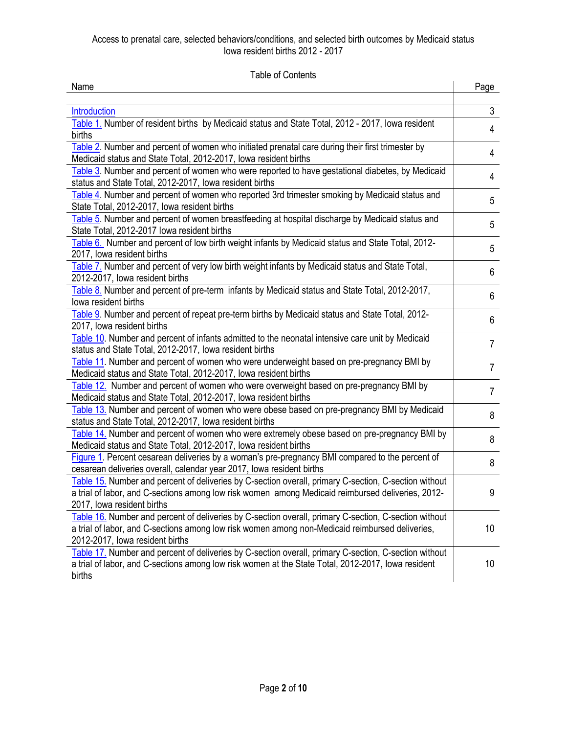Table of Contents

<span id="page-1-2"></span><span id="page-1-1"></span><span id="page-1-0"></span>

|                                                                                                                                                                           | Name | Page |
|---------------------------------------------------------------------------------------------------------------------------------------------------------------------------|------|------|
|                                                                                                                                                                           |      |      |
| $\mathfrak{S}$<br>Introduction                                                                                                                                            |      |      |
| Table 1. Number of resident births by Medicaid status and State Total, 2012 - 2017, Iowa resident<br>4                                                                    |      |      |
| births                                                                                                                                                                    |      |      |
| Table 2. Number and percent of women who initiated prenatal care during their first trimester by<br>4<br>Medicaid status and State Total, 2012-2017, Iowa resident births |      |      |
| Table 3. Number and percent of women who were reported to have gestational diabetes, by Medicaid                                                                          |      |      |
| 4<br>status and State Total, 2012-2017, Iowa resident births                                                                                                              |      |      |
| Table 4. Number and percent of women who reported 3rd trimester smoking by Medicaid status and<br>5                                                                       |      |      |
| State Total, 2012-2017, Iowa resident births                                                                                                                              |      |      |
| Table 5. Number and percent of women breastfeeding at hospital discharge by Medicaid status and<br>5                                                                      |      |      |
| State Total, 2012-2017 Iowa resident births                                                                                                                               |      |      |
| Table 6. Number and percent of low birth weight infants by Medicaid status and State Total, 2012-<br>5                                                                    |      |      |
| 2017, Iowa resident births                                                                                                                                                |      |      |
| Table 7. Number and percent of very low birth weight infants by Medicaid status and State Total,<br>6                                                                     |      |      |
| 2012-2017, lowa resident births                                                                                                                                           |      |      |
| Table 8. Number and percent of pre-term infants by Medicaid status and State Total, 2012-2017,<br>6                                                                       |      |      |
| lowa resident births                                                                                                                                                      |      |      |
| Table 9. Number and percent of repeat pre-term births by Medicaid status and State Total, 2012-<br>6<br>2017, Iowa resident births                                        |      |      |
| Table 10. Number and percent of infants admitted to the neonatal intensive care unit by Medicaid                                                                          |      |      |
| $\overline{7}$<br>status and State Total, 2012-2017, Iowa resident births                                                                                                 |      |      |
| Table 11. Number and percent of women who were underweight based on pre-pregnancy BMI by                                                                                  |      |      |
| $\overline{7}$<br>Medicaid status and State Total, 2012-2017, Iowa resident births                                                                                        |      |      |
| Table 12. Number and percent of women who were overweight based on pre-pregnancy BMI by<br>$\overline{7}$                                                                 |      |      |
| Medicaid status and State Total, 2012-2017, lowa resident births                                                                                                          |      |      |
| Table 13. Number and percent of women who were obese based on pre-pregnancy BMI by Medicaid<br>8                                                                          |      |      |
| status and State Total, 2012-2017, Iowa resident births                                                                                                                   |      |      |
| Table 14. Number and percent of women who were extremely obese based on pre-pregnancy BMI by<br>8                                                                         |      |      |
| Medicaid status and State Total, 2012-2017, Iowa resident births                                                                                                          |      |      |
| Figure 1. Percent cesarean deliveries by a woman's pre-pregnancy BMI compared to the percent of<br>8                                                                      |      |      |
| cesarean deliveries overall, calendar year 2017, Iowa resident births                                                                                                     |      |      |
| Table 15. Number and percent of deliveries by C-section overall, primary C-section, C-section without                                                                     |      |      |
| a trial of labor, and C-sections among low risk women among Medicaid reimbursed deliveries, 2012-<br>9                                                                    |      |      |
| 2017, Iowa resident births                                                                                                                                                |      |      |
| Table 16. Number and percent of deliveries by C-section overall, primary C-section, C-section without                                                                     |      |      |
| a trial of labor, and C-sections among low risk women among non-Medicaid reimbursed deliveries,<br>10<br>2012-2017, lowa resident births                                  |      |      |
| Table 17. Number and percent of deliveries by C-section overall, primary C-section, C-section without                                                                     |      |      |
| a trial of labor, and C-sections among low risk women at the State Total, 2012-2017, lowa resident<br>10                                                                  |      |      |
| births                                                                                                                                                                    |      |      |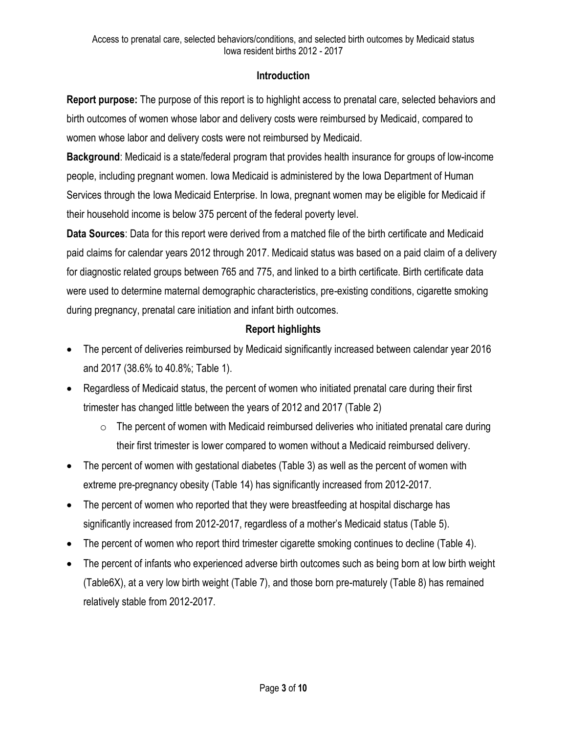# **Introduction**

**Report purpose:** The purpose of this report is to highlight access to prenatal care, selected behaviors and birth outcomes of women whose labor and delivery costs were reimbursed by Medicaid, compared to women whose labor and delivery costs were not reimbursed by Medicaid.

**Background**: Medicaid is a state/federal program that provides health insurance for groups of low-income people, including pregnant women. Iowa Medicaid is administered by the Iowa Department of Human Services through the Iowa Medicaid Enterprise. In Iowa, pregnant women may be eligible for Medicaid if their household income is below 375 percent of the federal poverty level.

**Data Sources**: Data for this report were derived from a matched file of the birth certificate and Medicaid paid claims for calendar years 2012 through 2017. Medicaid status was based on a paid claim of a delivery for diagnostic related groups between 765 and 775, and linked to a birth certificate. Birth certificate data were used to determine maternal demographic characteristics, pre-existing conditions, cigarette smoking during pregnancy, prenatal care initiation and infant birth outcomes.

# **Report highlights**

- The percent of deliveries reimbursed by Medicaid significantly increased between calendar year 2016 and 2017 (38.6% to 40.8%; Table 1).
- Regardless of Medicaid status, the percent of women who initiated prenatal care during their first trimester has changed little between the years of 2012 and 2017 (Table 2)
	- $\circ$  The percent of women with Medicaid reimbursed deliveries who initiated prenatal care during their first trimester is lower compared to women without a Medicaid reimbursed delivery.
- The percent of women with gestational diabetes (Table 3) as well as the percent of women with extreme pre-pregnancy obesity (Table 14) has significantly increased from 2012-2017.
- The percent of women who reported that they were breastfeeding at hospital discharge has significantly increased from 2012-2017, regardless of a mother's Medicaid status (Table 5).
- The percent of women who report third trimester cigarette smoking continues to decline (Table 4).
- The percent of infants who experienced adverse birth outcomes such as being born at low birth weight (Table6X), at a very low birth weight (Table 7), and those born pre-maturely (Table 8) has remained relatively stable from 2012-2017.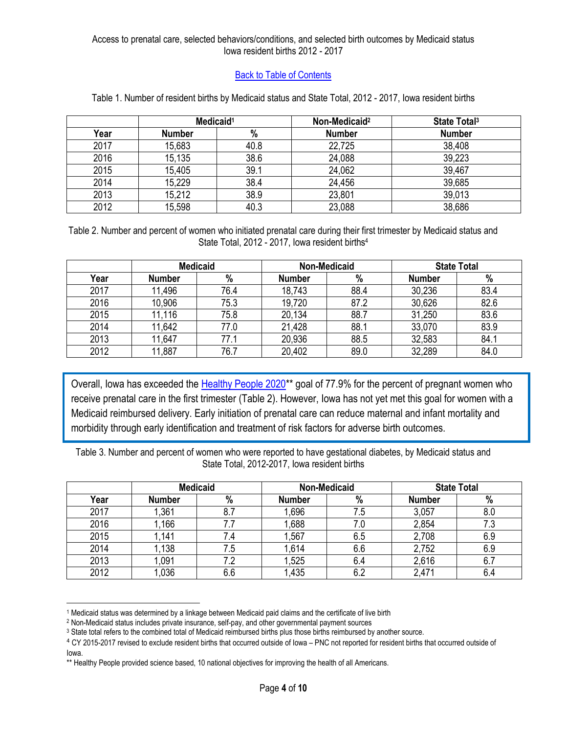# [Back to Table of Contents](#page-1-1)

<span id="page-3-0"></span>

|      | Medicaid <sup>1</sup> |      | Non-Medicaid <sup>2</sup> | State Total <sup>3</sup> |
|------|-----------------------|------|---------------------------|--------------------------|
| Year | <b>Number</b>         | %    | <b>Number</b>             | <b>Number</b>            |
| 2017 | 15,683                | 40.8 | 22,725                    | 38,408                   |
| 2016 | 15,135                | 38.6 | 24,088                    | 39,223                   |
| 2015 | 15,405                | 39.1 | 24,062                    | 39,467                   |
| 2014 | 15,229                | 38.4 | 24,456                    | 39,685                   |
| 2013 | 15,212                | 38.9 | 23,801                    | 39,013                   |
| 2012 | 15,598                | 40.3 | 23,088                    | 38,686                   |

#### Table 1. Number of resident births by Medicaid status and State Total, 2012 - 2017, Iowa resident births

<span id="page-3-1"></span>Table 2. Number and percent of women who initiated prenatal care during their first trimester by Medicaid status and State Total, 2012 - 2017, Iowa resident births<sup>4</sup>

|      | <b>Medicaid</b> |      | <b>Non-Medicaid</b> |      | <b>State Total</b> |      |
|------|-----------------|------|---------------------|------|--------------------|------|
| Year | <b>Number</b>   | %    | <b>Number</b>       | $\%$ | <b>Number</b>      | %    |
| 2017 | 11,496          | 76.4 | 18,743              | 88.4 | 30,236             | 83.4 |
| 2016 | 10,906          | 75.3 | 19,720              | 87.2 | 30,626             | 82.6 |
| 2015 | 11,116          | 75.8 | 20,134              | 88.7 | 31,250             | 83.6 |
| 2014 | 11,642          | 77.0 | 21,428              | 88.1 | 33,070             | 83.9 |
| 2013 | 11,647          | 77.1 | 20,936              | 88.5 | 32,583             | 84.1 |
| 2012 | 11,887          | 76.7 | 20,402              | 89.0 | 32,289             | 84.0 |

Overall, Iowa has exceeded the Healthy People 2020<sup>\*\*</sup> goal of 77.9% for the percent of pregnant women who receive prenatal care in the first trimester (Table 2). However, Iowa has not yet met this goal for women with a Medicaid reimbursed delivery. Early initiation of prenatal care can reduce maternal and infant mortality and morbidity through early identification and treatment of risk factors for adverse birth outcomes.

Table 3. Number and percent of women who were reported to have gestational diabetes, by Medicaid status and State Total, 2012-2017, Iowa resident births

|      | <b>Medicaid</b> |     | <b>Non-Medicaid</b> |     | <b>State Total</b> |     |
|------|-----------------|-----|---------------------|-----|--------------------|-----|
| Year | <b>Number</b>   | %   | <b>Number</b>       | %   | <b>Number</b>      | %   |
| 2017 | ,361            | 8.7 | 1,696               | 7.5 | 3,057              | 8.0 |
| 2016 | 1,166           |     | .688                | 7.0 | 2,854              | 7.3 |
| 2015 | 1,141           | 7.4 | 1,567               | 6.5 | 2,708              | 6.9 |
| 2014 | 1,138           | 7.5 | 1,614               | 6.6 | 2,752              | 6.9 |
| 2013 | 1,091           |     | 1,525               | 6.4 | 2,616              | 6.7 |
| 2012 | 1,036           | 6.6 | 1,435               | 6.2 | 2,471              | 6.4 |

l <sup>1</sup> Medicaid status was determined by a linkage between Medicaid paid claims and the certificate of live birth

<sup>2</sup> Non-Medicaid status includes private insurance, self-pay, and other governmental payment sources

<sup>3</sup> State total refers to the combined total of Medicaid reimbursed births plus those births reimbursed by another source.

<sup>&</sup>lt;sup>4</sup> CY 2015-2017 revised to exclude resident births that occurred outside of Iowa – PNC not reported for resident births that occurred outside of Iowa.

<sup>\*\*</sup> Healthy People provided science based, 10 national objectives for improving the health of all Americans.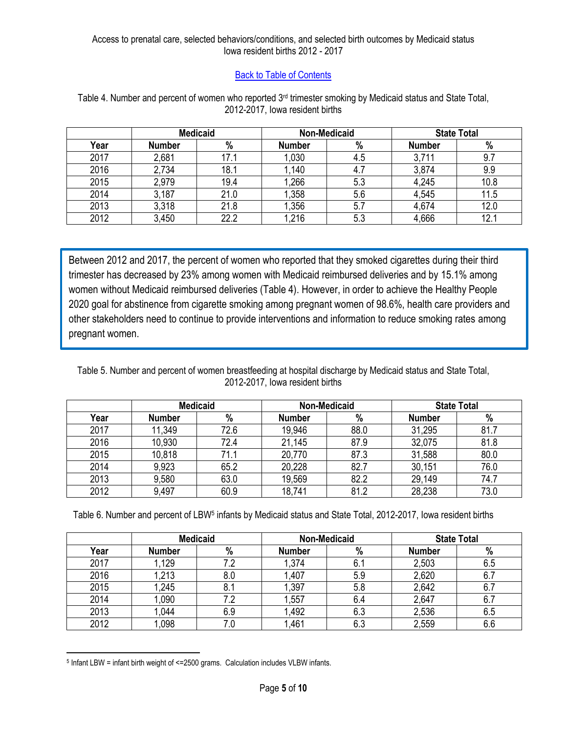## **[Back to Table of Contents](#page-1-1)**

|      | <b>Medicaid</b> |      | Non-Medicaid  |     | <b>State Total</b> |      |
|------|-----------------|------|---------------|-----|--------------------|------|
| Year | <b>Number</b>   | %    | <b>Number</b> | %   | <b>Number</b>      | $\%$ |
| 2017 | 2,681           | 17.1 | 0.030         | 4.5 | 3,711              | 9.7  |
| 2016 | 2,734           | 18.1 | ,140          | 4.7 | 3,874              | 9.9  |
| 2015 | 2,979           | 19.4 | ,266          | 5.3 | 4,245              | 10.8 |
| 2014 | 3,187           | 21.0 | ,358          | 5.6 | 4,545              | 11.5 |
| 2013 | 3,318           | 21.8 | 1,356         | 5.7 | 4,674              | 12.0 |
| 2012 | 3,450           | 22.2 | ,216          | 5.3 | 4,666              | 12.1 |

<span id="page-4-0"></span>Table 4. Number and percent of women who reported 3<sup>rd</sup> trimester smoking by Medicaid status and State Total, 2012-2017, Iowa resident births

Between 2012 and 2017, the percent of women who reported that they smoked cigarettes during their third trimester has decreased by 23% among women with Medicaid reimbursed deliveries and by 15.1% among women without Medicaid reimbursed deliveries (Table 4). However, in order to achieve the Healthy People 2020 goal for abstinence from cigarette smoking among pregnant women of 98.6%, health care providers and other stakeholders need to continue to provide interventions and information to reduce smoking rates among pregnant women.

<span id="page-4-1"></span>Table 5. Number and percent of women breastfeeding at hospital discharge by Medicaid status and State Total, 2012-2017, Iowa resident births

|      | <b>Medicaid</b> |      | <b>Non-Medicaid</b> |      | <b>State Total</b> |      |
|------|-----------------|------|---------------------|------|--------------------|------|
| Year | <b>Number</b>   | $\%$ | <b>Number</b>       | %    | <b>Number</b>      | %    |
| 2017 | 11,349          | 72.6 | 19,946              | 88.0 | 31,295             | 81.7 |
| 2016 | 10,930          | 72.4 | 21,145              | 87.9 | 32,075             | 81.8 |
| 2015 | 10,818          | 71.1 | 20,770              | 87.3 | 31,588             | 80.0 |
| 2014 | 9,923           | 65.2 | 20,228              | 82.7 | 30,151             | 76.0 |
| 2013 | 9,580           | 63.0 | 19,569              | 82.2 | 29,149             | 74.7 |
| 2012 | 9,497           | 60.9 | 18,741              | 81.2 | 28,238             | 73.0 |

<span id="page-4-2"></span>Table 6. Number and percent of LBW<sup>5</sup> infants by Medicaid status and State Total, 2012-2017, Iowa resident births

|      | <b>Medicaid</b> |     | <b>Non-Medicaid</b> |     | <b>State Total</b> |     |
|------|-----------------|-----|---------------------|-----|--------------------|-----|
| Year | <b>Number</b>   | %   | <b>Number</b>       | %   | <b>Number</b>      | %   |
| 2017 | .129            |     | .374                | 6.1 | 2,503              | 6.5 |
| 2016 | 1,213           | 8.0 | 1,407               | 5.9 | 2,620              | 6.7 |
| 2015 | 1,245           | 8.1 | ,397                | 5.8 | 2,642              | 6.7 |
| 2014 | .090            | 7.2 | .557                | 6.4 | 2,647              | 6.7 |
| 2013 | ,044            | 6.9 | 1,492               | 6.3 | 2,536              | 6.5 |
| 2012 | ,098            | 7.0 | .461                | 6.3 | 2,559              | 6.6 |

 $\overline{a}$ <sup>5</sup> Infant LBW = infant birth weight of <=2500 grams. Calculation includes VLBW infants.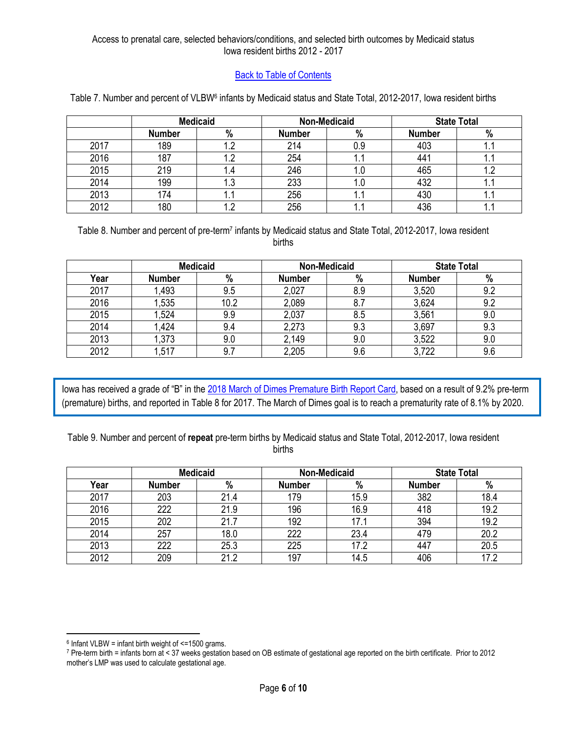### [Back to Table of Contents](#page-1-1)

|      |               | <b>Medicaid</b> |               | <b>Non-Medicaid</b> |               | <b>State Total</b> |
|------|---------------|-----------------|---------------|---------------------|---------------|--------------------|
|      | <b>Number</b> | %               | <b>Number</b> | %                   | <b>Number</b> | %                  |
| 2017 | 189           |                 | 214           | 0.9                 | 403           |                    |
| 2016 | 187           |                 | 254           | ι.                  | 441           | . .                |
| 2015 | 219           | .4              | 246           | 1.C                 | 465           | 1.2                |
| 2014 | 199           | ن. ا            | 233           | I.U                 | 432           | . .                |
| 2013 | 174           | . .             | 256           | ι.                  | 430           | . .                |
| 2012 | 180           |                 | 256           | ι.                  | 436           |                    |

<span id="page-5-0"></span>Table 7. Number and percent of VLBW<sup>6</sup> infants by Medicaid status and State Total, 2012-2017, Iowa resident births

<span id="page-5-1"></span>Table 8. Number and percent of pre-term<sup>7</sup> infants by Medicaid status and State Total, 2012-2017, Iowa resident births

|      | <b>Medicaid</b> |      | <b>Non-Medicaid</b> |      | <b>State Total</b> |      |
|------|-----------------|------|---------------------|------|--------------------|------|
| Year | <b>Number</b>   | $\%$ | <b>Number</b>       | $\%$ | <b>Number</b>      | $\%$ |
| 2017 | 1,493           | 9.5  | 2,027               | 8.9  | 3,520              | 9.2  |
| 2016 | ,535            | 10.2 | 2,089               | 8.7  | 3,624              | 9.2  |
| 2015 | 1,524           | 9.9  | 2,037               | 8.5  | 3,561              | 9.0  |
| 2014 | <b>424</b>      | 9.4  | 2,273               | 9.3  | 3,697              | 9.3  |
| 2013 | 1,373           | 9.0  | 2,149               | 9.0  | 3,522              | 9.0  |
| 2012 | 1,517           | 9.7  | 2,205               | 9.6  | 3,722              | 9.6  |

Iowa has received a grade of "B" in the [2018 March of Dimes Premature Birth Report Card,](https://www.marchofdimes.org/mission/prematurity-reportcard.aspx) based on a result of 9.2% pre-term (premature) births, and reported in Table 8 for 2017. The March of Dimes goal is to reach a prematurity rate of 8.1% by 2020.

<span id="page-5-2"></span>Table 9. Number and percent of **repeat** pre-term births by Medicaid status and State Total, 2012-2017, Iowa resident births

|      | <b>Medicaid</b> |      | <b>Non-Medicaid</b> |      | <b>State Total</b> |      |
|------|-----------------|------|---------------------|------|--------------------|------|
| Year | <b>Number</b>   | $\%$ | <b>Number</b>       | %    | <b>Number</b>      | %    |
| 2017 | 203             | 21.4 | 179                 | 15.9 | 382                | 18.4 |
| 2016 | 222             | 21.9 | 196                 | 16.9 | 418                | 19.2 |
| 2015 | 202             | 21.7 | 192                 | 17.1 | 394                | 19.2 |
| 2014 | 257             | 18.0 | 222                 | 23.4 | 479                | 20.2 |
| 2013 | 222             | 25.3 | 225                 | 17.2 | 447                | 20.5 |
| 2012 | 209             | 21.2 | 197                 | 14.5 | 406                | 17 O |

 $\overline{a}$ 

<sup>6</sup> Infant VLBW = infant birth weight of <=1500 grams.

<sup>7</sup> Pre-term birth = infants born at < 37 weeks gestation based on OB estimate of gestational age reported on the birth certificate. Prior to 2012 mother's LMP was used to calculate gestational age.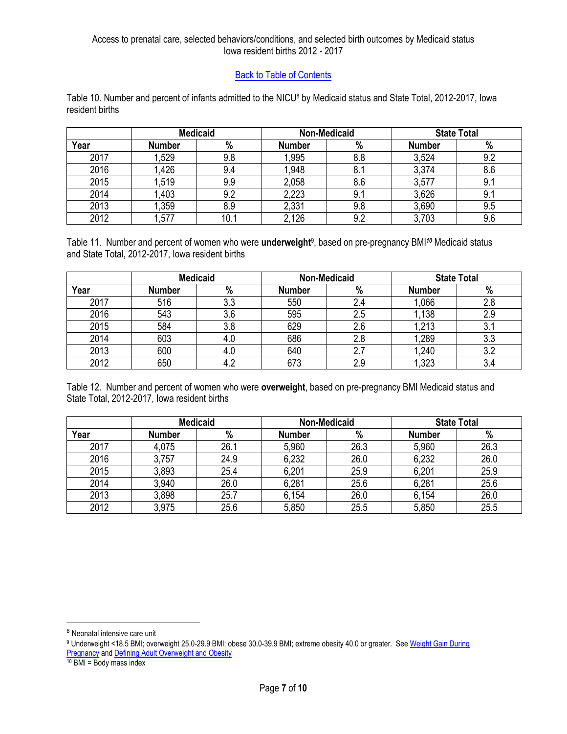### [Back to Table of Contents](#page-1-1)

<span id="page-6-0"></span>Table 10. Number and percent of infants admitted to the NICU<sup>8</sup> by Medicaid status and State Total, 2012-2017, Iowa resident births

|      | <b>Medicaid</b> |      | <b>Non-Medicaid</b> |     | <b>State Total</b> |     |
|------|-----------------|------|---------------------|-----|--------------------|-----|
| Year | <b>Number</b>   | %    | <b>Number</b>       | %   | <b>Number</b>      | %   |
| 2017 | 1,529           | 9.8  | 1,995               | 8.8 | 3,524              | 9.2 |
| 2016 | 1,426           | 9.4  | 1,948               | 8.1 | 3,374              | 8.6 |
| 2015 | 1,519           | 9.9  | 2,058               | 8.6 | 3,577              | 9.1 |
| 2014 | .403            | 9.2  | 2,223               | 9.1 | 3,626              | 9.1 |
| 2013 | 1,359           | 8.9  | 2,331               | 9.8 | 3,690              | 9.5 |
| 2012 | ,577            | 10.1 | 2,126               | 9.2 | 3,703              | 9.6 |

<span id="page-6-1"></span>Table 11. Number and percent of women who were **underweight**<sup>9</sup> , based on pre-pregnancy BMI*<sup>10</sup>* Medicaid status and State Total, 2012-2017, Iowa resident births

|      | <b>Medicaid</b> |     | <b>Non-Medicaid</b> |     | <b>State Total</b> |           |
|------|-----------------|-----|---------------------|-----|--------------------|-----------|
| Year | <b>Number</b>   | %   | <b>Number</b>       | %   | <b>Number</b>      | %         |
| 2017 | 516             | 3.3 | 550                 | 2.4 | 1,066              |           |
| 2016 | 543             | 3.6 | 595                 | 2.5 | 1,138              | 2.9       |
| 2015 | 584             | 3.8 | 629                 | 2.6 | ,213               | <b>U.</b> |
| 2014 | 603             | 4.U | 686                 | 2.8 | 1,289              | 3.3       |
| 2013 | 600             | 4.0 | 640                 | 2.7 | 1,240              | 3.2       |
| 2012 | 650             | ے.4 | 673                 | 2.9 | ,323               | 3.4       |

<span id="page-6-2"></span>Table 12. Number and percent of women who were **overweight**, based on pre-pregnancy BMI Medicaid status and State Total, 2012-2017, Iowa resident births

|      | <b>Medicaid</b> |      |               | <b>Non-Medicaid</b> | <b>State Total</b> |      |  |
|------|-----------------|------|---------------|---------------------|--------------------|------|--|
| Year | <b>Number</b>   | %    | <b>Number</b> | $\%$                | <b>Number</b>      | %    |  |
| 2017 | 4,075           | 26.1 | 5,960         | 26.3                | 5,960              | 26.3 |  |
| 2016 | 3,757           | 24.9 | 6,232         | 26.0                | 6,232              | 26.0 |  |
| 2015 | 3,893           | 25.4 | 6,201         | 25.9                | 6,201              | 25.9 |  |
| 2014 | 3,940           | 26.0 | 6,281         | 25.6                | 6,281              | 25.6 |  |
| 2013 | 3,898           | 25.7 | 6,154         | 26.0                | 6,154              | 26.0 |  |
| 2012 | 3,975           | 25.6 | 5,850         | 25.5                | 5,850              | 25.5 |  |

l

<sup>8</sup> Neonatal intensive care unit

<sup>9</sup> Underweight <18.5 BMI; overweight 25.0-29.9 BMI; obese 30.0-39.9 BMI; extreme obesity 40.0 or greater. See [Weight Gain During](https://www.nap.edu/resource/12584/Report-Brief---Weight-Gain-During-Pregnancy.pdf)  **[Pregnancy](https://www.nap.edu/resource/12584/Report-Brief---Weight-Gain-During-Pregnancy.pdf) an[d Defining Adult Overweight and Obesity](https://www.cdc.gov/obesity/adult/defining.html)** 

 $10$  BMI = Body mass index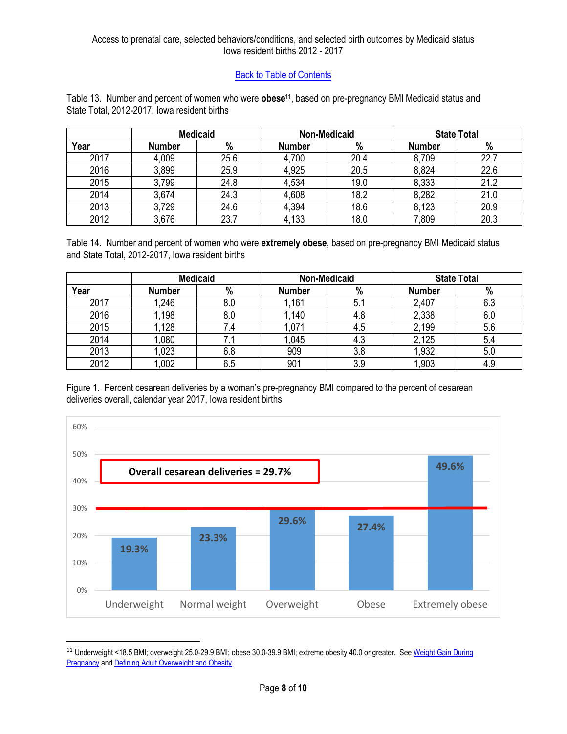# [Back to Table of Contents](#page-1-1)

<span id="page-7-0"></span>Table 13. Number and percent of women who were **obese11**, based on pre-pregnancy BMI Medicaid status and State Total, 2012-2017, Iowa resident births

|      | <b>Medicaid</b> |      |               | <b>Non-Medicaid</b> | <b>State Total</b> |      |  |
|------|-----------------|------|---------------|---------------------|--------------------|------|--|
| Year | <b>Number</b>   | %    | <b>Number</b> | %                   | <b>Number</b>      | %    |  |
| 2017 | 4,009           | 25.6 | 4,700         | 20.4                | 8,709              | 22.7 |  |
| 2016 | 3,899           | 25.9 | 4,925         | 20.5                | 8,824              | 22.6 |  |
| 2015 | 3,799           | 24.8 | 4,534         | 19.0                | 8,333              | 21.2 |  |
| 2014 | 3,674           | 24.3 | 4,608         | 18.2                | 8,282              | 21.0 |  |
| 2013 | 3,729           | 24.6 | 4,394         | 18.6                | 8,123              | 20.9 |  |
| 2012 | 3,676           | 23.7 | 4,133         | 18.0                | 7,809              | 20.3 |  |

<span id="page-7-1"></span>Table 14. Number and percent of women who were **extremely obese**, based on pre-pregnancy BMI Medicaid status and State Total, 2012-2017, Iowa resident births

|      | <b>Medicaid</b> |     |               | <b>Non-Medicaid</b> | <b>State Total</b> |     |
|------|-----------------|-----|---------------|---------------------|--------------------|-----|
| Year | <b>Number</b>   | %   | <b>Number</b> | %                   | <b>Number</b>      | %   |
| 2017 | 1,246           | 8.0 | 1,161         | 5.1                 | 2,407              | 6.3 |
| 2016 | 1,198           | 8.0 | ,140          | 4.8                 | 2,338              | 6.0 |
| 2015 | 1,128           | 7.4 | 1.071         | 4.5                 | 2,199              | 5.6 |
| 2014 | ,080            |     | ,045          | 4.3                 | 2,125              | 5.4 |
| 2013 | 1,023           | 6.8 | 909           | 3.8                 | 1,932              | 5.0 |
| 2012 | 0.002           | 6.5 | 901           | 3.9                 | ,903               | 4.9 |

<span id="page-7-2"></span>Figure 1. Percent cesarean deliveries by a woman's pre-pregnancy BMI compared to the percent of cesarean deliveries overall, calendar year 2017, Iowa resident births



<sup>&</sup>lt;sup>11</sup> Underweight <18.5 BMI; overweight 25.0-29.9 BMI; obese 30.0-39.9 BMI; extreme obesity 40.0 or greater. See Weight Gain During **[Pregnancy](https://www.nap.edu/resource/12584/Report-Brief---Weight-Gain-During-Pregnancy.pdf) an[d Defining Adult Overweight and Obesity](https://www.cdc.gov/obesity/adult/defining.html)** 

 $\overline{\phantom{a}}$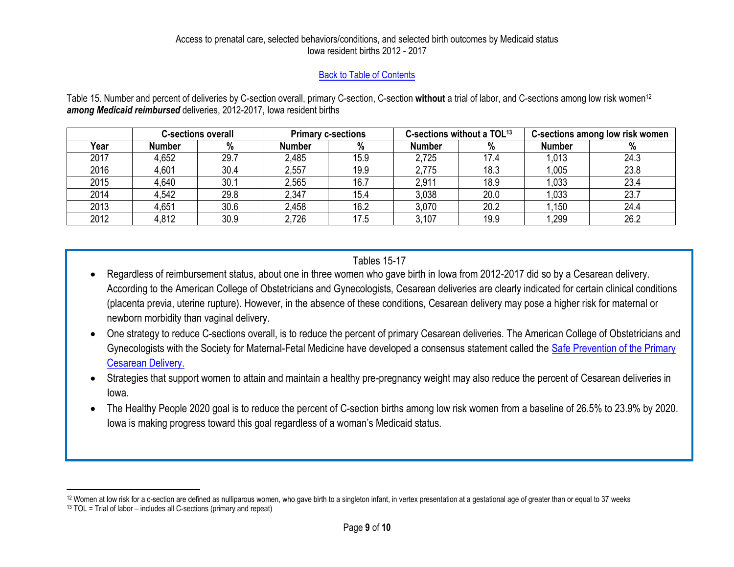## [Back to Table of Contents](#page-1-2)

Table 15. Number and percent of deliveries by C-section overall, primary C-section, C-section **without** a trial of labor, and C-sections among low risk women<sup>12</sup> *among Medicaid reimbursed* deliveries, 2012-2017, Iowa resident births

|      | <b>C-sections overall</b> |      | <b>Primary c-sections</b> |      | C-sections without a TOL <sup>13</sup> |      | C-sections among low risk women |      |
|------|---------------------------|------|---------------------------|------|----------------------------------------|------|---------------------------------|------|
| Year | <b>Number</b>             | %    | Number                    | %    | <b>Number</b>                          | %    | <b>Number</b>                   | ℅    |
| 2017 | 4,652                     | 29.7 | 2,485                     | 15.9 | 2,725                                  | 17.4 | 1,013                           | 24.3 |
| 2016 | 4,601                     | 30.4 | 2,557                     | 19.9 | 2,775                                  | 18.3 | 1,005                           | 23.8 |
| 2015 | 4,640                     | 30.1 | 2,565                     | 16.7 | 2,911                                  | 18.9 | 1,033                           | 23.4 |
| 2014 | 4,542                     | 29.8 | 2,347                     | 15.4 | 3,038                                  | 20.0 | 1,033                           | 23.7 |
| 2013 | 4,651                     | 30.6 | 2,458                     | 16.2 | 3,070                                  | 20.2 | 1,150                           | 24.4 |
| 2012 | 4,812                     | 30.9 | 2,726                     | 17.5 | 3,107                                  | 19.9 | 1,299                           | 26.2 |

# Tables 15-17

- <span id="page-8-0"></span> Regardless of reimbursement status, about one in three women who gave birth in Iowa from 2012-2017 did so by a Cesarean delivery. According to the American College of Obstetricians and Gynecologists, Cesarean deliveries are clearly indicated for certain clinical conditions (placenta previa, uterine rupture). However, in the absence of these conditions, Cesarean delivery may pose a higher risk for maternal or newborn morbidity than vaginal delivery.
- One strategy to reduce C-sections overall, is to reduce the percent of primary Cesarean deliveries. The American College of Obstetricians and Gynecologists with the Society for Maternal-Fetal Medicine have developed a consensus statement called the Safe Prevention of the Primary [Cesarean Delivery.](https://www.acog.org/Clinical-Guidance-and-Publications/Obstetric-Care-Consensus-Series/Safe-Prevention-of-the-Primary-Cesarean-Delivery?IsMobileSet=false#table3)
- Strategies that support women to attain and maintain a healthy pre-pregnancy weight may also reduce the percent of Cesarean deliveries in Iowa.
- The Healthy People 2020 goal is to reduce the percent of C-section births among low risk women from a baseline of 26.5% to 23.9% by 2020. Iowa is making progress toward this goal regardless of a woman's Medicaid status.

 $\overline{\phantom{a}}$ 

<sup>&</sup>lt;sup>12</sup> Women at low risk for a c-section are defined as nulliparous women, who gave birth to a singleton infant, in vertex presentation at a gestational age of greater than or equal to 37 weeks

 $13$  TOL = Trial of labor – includes all C-sections (primary and repeat)